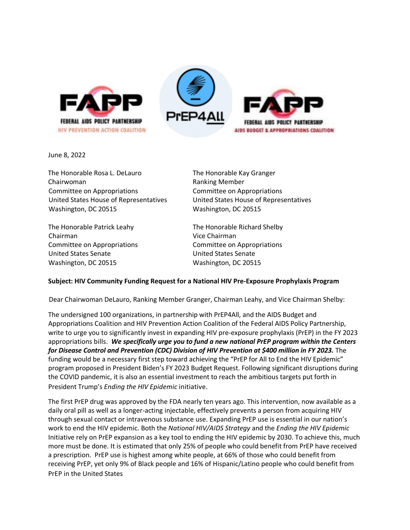



June 8, 2022

The Honorable Rosa L. DeLauro The Honorable Kay Granger Chairwoman **Ranking Member** Ranking Member Committee on Appropriations Committee on Appropriations Washington, DC 20515 Washington, DC 20515

The Honorable Patrick Leahy The Honorable Richard Shelby Chairman Vice Chairman Committee on Appropriations Committee on Appropriations United States Senate United States Senate Washington, DC 20515 Washington, DC 20515

United States House of Representatives United States House of Representatives

## **Subject: HIV Community Funding Request for a National HIV Pre-Exposure Prophylaxis Program**

Dear Chairwoman DeLauro, Ranking Member Granger, Chairman Leahy, and Vice Chairman Shelby:

The undersigned 100 organizations, in partnership with PrEP4All, and the AIDS Budget and Appropriations Coalition and HIV Prevention Action Coalition of the Federal AIDS Policy Partnership, write to urge you to significantly invest in expanding HIV pre-exposure prophylaxis (PrEP) in the FY 2023 appropriations bills. *We specifically urge you to fund a new national PrEP program within the Centers for Disease Control and Prevention (CDC) Division of HIV Prevention at \$400 million in FY 2023.* The funding would be a necessary first step toward achieving the "PrEP for All to End the HIV Epidemic" program proposed in President Biden's FY 2023 Budget Request. Following significant disruptions during the COVID pandemic, it is also an essential investment to reach the ambitious targets put forth in President Trump's *Ending the HIV Epidemic* initiative.

The first PrEP drug was approved by the FDA nearly ten years ago. This intervention, now available as a daily oral pill as well as a longer-acting injectable, effectively prevents a person from acquiring HIV through sexual contact or intravenous substance use. Expanding PrEP use is essential in our nation's work to end the HIV epidemic. Both the *National HIV/AIDS Strategy* and the *Ending the HIV Epidemic* Initiative rely on PrEP expansion as a key tool to ending the HIV epidemic by 2030. To achieve this, much more must be done. It is estimated that only 25% of people who could benefit from PrEP have received a prescription. PrEP use is highest among white people, at 66% of those who could benefit from receiving PrEP, yet only 9% of Black people and 16% of Hispanic/Latino people who could benefit from PrEP in the United States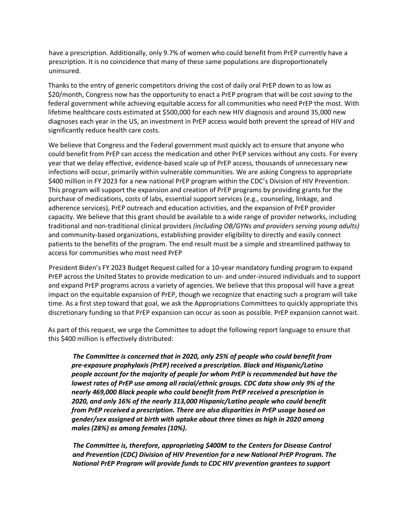have a prescription. Additionally, only 9.7% of women who could benefit from PrEP currently have a prescription. It is no coincidence that many of these same populations are disproportionately uninsured.

Thanks to the entry of generic competitors driving the cost of daily oral PrEP down to as low as \$20/month, Congress now has the opportunity to enact a PrEP program that will be cost *saving* to the federal government while achieving equitable access for all communities who need PrEP the most. With lifetime healthcare costs estimated at \$500,000 for each new HIV diagnosis and around 35,000 new diagnoses each year in the US, an investment in PrEP access would both prevent the spread of HIV and significantly reduce health care costs.

We believe that Congress and the Federal government must quickly act to ensure that anyone who could benefit from PrEP can access the medication and other PrEP services without any costs. For every year that we delay effective, evidence-based scale up of PrEP access, thousands of unnecessary new infections will occur, primarily within vulnerable communities. We are asking Congress to appropriate \$400 million in FY 2023 for a new national PrEP program within the CDC's Division of HIV Prevention. This program will support the expansion and creation of PrEP programs by providing grants for the purchase of medications, costs of labs, essential support services (e.g., counseling, linkage, and adherence services), PrEP outreach and education activities, and the expansion of PrEP provider capacity. We believe that this grant should be available to a wide range of provider networks, including traditional and non-traditional clinical providers *(including OB/GYNs and providers serving young adults)*  and community-based organizations, establishing provider eligibility to directly and easily connect patients to the benefits of the program. The end result must be a simple and streamlined pathway to access for communities who most need PrEP

President Biden's FY 2023 Budget Request called for a 10-year mandatory funding program to expand PrEP across the United States to provide medication to un- and under-insured individuals and to support and expand PrEP programs across a variety of agencies. We believe that this proposal will have a great impact on the equitable expansion of PrEP, though we recognize that enacting such a program will take time. As a first step toward that goal, we ask the Appropriations Committees to quickly appropriate this discretionary funding so that PrEP expansion can occur as soon as possible. PrEP expansion cannot wait.

As part of this request, we urge the Committee to adopt the following report language to ensure that this \$400 million is effectively distributed:

*The Committee is concerned that in 2020, only 25% of people who could benefit from pre-exposure prophylaxis (PrEP) received a prescription. Black and Hispanic/Latino people account for the majority of people for whom PrEP is recommended but have the lowest rates of PrEP use among all racial/ethnic groups. CDC data show only 9% of the nearly 469,000 Black people who could benefit from PrEP received a prescription in 2020, and only 16% of the nearly 313,000 Hispanic/Latino people who could benefit from PrEP received a prescription. There are also disparities in PrEP usage based on gender/sex assigned at birth with uptake about three times as high in 2020 among males (28%) as among females (10%).*

*The Committee is, therefore, appropriating \$400M to the Centers for Disease Control and Prevention (CDC) Division of HIV Prevention for a new National PrEP Program. The National PrEP Program will provide funds to CDC HIV prevention grantees to support*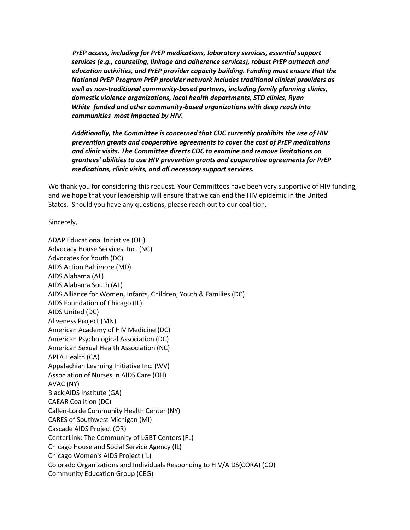*PrEP access, including for PrEP medications, laboratory services, essential support services (e.g., counseling, linkage and adherence services), robust PrEP outreach and education activities, and PrEP provider capacity building. Funding must ensure that the National PrEP Program PrEP provider network includes traditional clinical providers as well as non-traditional community-based partners, including family planning clinics, domestic violence organizations, local health departments, STD clinics, Ryan White funded and other community-based organizations with deep reach into communities most impacted by HIV.*

*Additionally, the Committee is concerned that CDC currently prohibits the use of HIV prevention grants and cooperative agreements to cover the cost of PrEP medications and clinic visits. The Committee directs CDC to examine and remove limitations on grantees' abilities to use HIV prevention grants and cooperative agreements for PrEP medications, clinic visits, and all necessary support services.*

We thank you for considering this request. Your Committees have been very supportive of HIV funding, and we hope that your leadership will ensure that we can end the HIV epidemic in the United States. Should you have any questions, please reach out to our coalition.

Sincerely,

ADAP Educational Initiative (OH) Advocacy House Services, Inc. (NC) Advocates for Youth (DC) AIDS Action Baltimore (MD) AIDS Alabama (AL) AIDS Alabama South (AL) AIDS Alliance for Women, Infants, Children, Youth & Families (DC) AIDS Foundation of Chicago (IL) AIDS United (DC) Aliveness Project (MN) American Academy of HIV Medicine (DC) American Psychological Association (DC) American Sexual Health Association (NC) APLA Health (CA) Appalachian Learning Initiative Inc. (WV) Association of Nurses in AIDS Care (OH) AVAC (NY) Black AIDS Institute (GA) CAEAR Coalition (DC) Callen-Lorde Community Health Center (NY) CARES of Southwest Michigan (MI) Cascade AIDS Project (OR) CenterLink: The Community of LGBT Centers (FL) Chicago House and Social Service Agency (IL) Chicago Women's AIDS Project (IL) Colorado Organizations and Individuals Responding to HIV/AIDS(CORA) (CO) Community Education Group (CEG)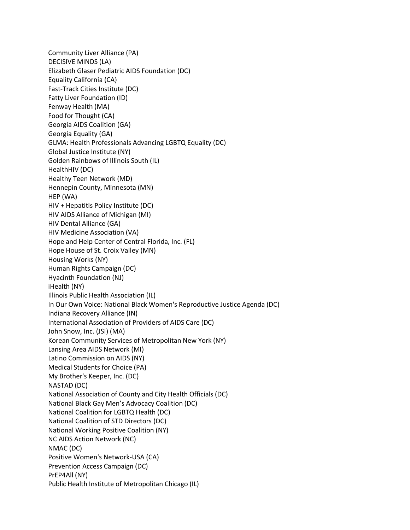Community Liver Alliance (PA) DECISIVE MINDS (LA) Elizabeth Glaser Pediatric AIDS Foundation (DC) Equality California (CA) Fast-Track Cities Institute (DC) Fatty Liver Foundation (ID) Fenway Health (MA) Food for Thought (CA) Georgia AIDS Coalition (GA) Georgia Equality (GA) GLMA: Health Professionals Advancing LGBTQ Equality (DC) Global Justice Institute (NY) Golden Rainbows of Illinois South (IL) HealthHIV (DC) Healthy Teen Network (MD) Hennepin County, Minnesota (MN) HEP (WA) HIV + Hepatitis Policy Institute (DC) HIV AIDS Alliance of Michigan (MI) HIV Dental Alliance (GA) HIV Medicine Association (VA) Hope and Help Center of Central Florida, Inc. (FL) Hope House of St. Croix Valley (MN) Housing Works (NY) Human Rights Campaign (DC) Hyacinth Foundation (NJ) iHealth (NY) Illinois Public Health Association (IL) In Our Own Voice: National Black Women's Reproductive Justice Agenda (DC) Indiana Recovery Alliance (IN) International Association of Providers of AIDS Care (DC) John Snow, Inc. (JSI) (MA) Korean Community Services of Metropolitan New York (NY) Lansing Area AIDS Network (MI) Latino Commission on AIDS (NY) Medical Students for Choice (PA) My Brother's Keeper, Inc. (DC) NASTAD (DC) National Association of County and City Health Officials (DC) National Black Gay Men's Advocacy Coalition (DC) National Coalition for LGBTQ Health (DC) National Coalition of STD Directors (DC) National Working Positive Coalition (NY) NC AIDS Action Network (NC) NMAC (DC) Positive Women's Network-USA (CA) Prevention Access Campaign (DC) PrEP4All (NY) Public Health Institute of Metropolitan Chicago (IL)